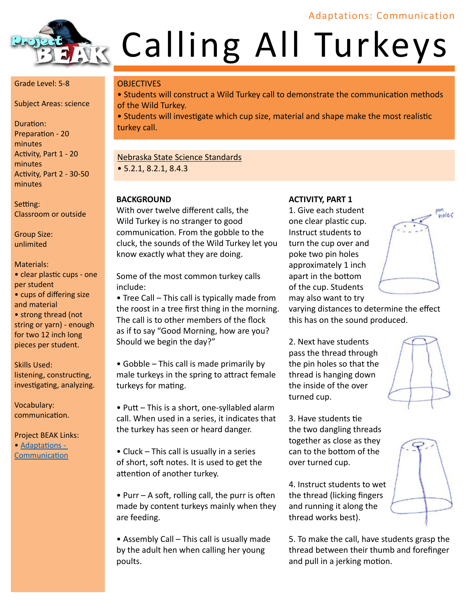## Adaptations: Communication



# **Calling All Turkeys**

#### Grade Level: 5-8

Subject Areas: science

Duration: Preparation - 20 minutes Activity, Part 1 - 20 minutes Activity, Part 2 - 30-50 minutes

Setting: Classroom or outside

Group Size: unlimited

#### Materials:

• clear plastic cups - one per student

- cups of differing size and material
- strong thread (not string or yarn) - enough for two 12 inch long pieces per student.

Skills Used: listening, constructing, investigating, analyzing.

Vocabulary: communication.

Project BEAK Links: • Adaptations -[Communicatio](http://projectbeak.org/adaptations/communication.htm)n

#### **OBJECTIVES**

• Students will construct a Wild Turkey call to demonstrate the communication methods of the Wild Turkey.

• Students will investigate which cup size, material and shape make the most realistic turkey call.

#### Nebraska State Science Standards

• 5.2.1, 8.2.1, 8.4.3

#### **BACKGROUND**

With over twelve different calls, the Wild Turkey is no stranger to good communication. From the gobble to the cluck, the sounds of the Wild Turkey let you know exactly what they are doing.

Some of the most common turkey calls include:

• Tree Call – This call is typically made from the roost in a tree first thing in the morning. The call is to other members of the flock as if to say "Good Morning, how are you? Should we begin the day?"

• Gobble – This call is made primarily by male turkeys in the spring to attract female turkeys for mating.

• Putt – This is a short, one-syllabled alarm call. When used in a series, it indicates that the turkey has seen or heard danger.

• Cluck – This call is usually in a series of short, soft notes. It is used to get the attention of another turkey.

• Purr – A soft, rolling call, the purr is often made by content turkeys mainly when they are feeding.

• Assembly Call – This call is usually made by the adult hen when calling her young poults.

#### **ACTIVITY, PART 1**

1. Give each student one clear plastic cup. Instruct students to turn the cup over and poke two pin holes approximately 1 inch apart in the bottom of the cup. Students may also want to try



varying distances to determine the effect this has on the sound produced.

2. Next have students pass the thread through the pin holes so that the thread is hanging down the inside of the over turned cup.

3. Have students tie the two dangling threads together as close as they can to the bottom of the over turned cup.

4. Instruct students to wet the thread (licking fingers and running it along the thread works best).